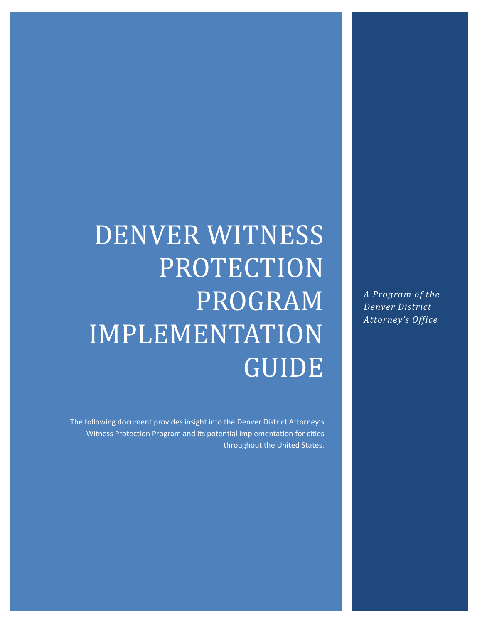#### *A Program of the Denver District Attorney's Office*

# DENVER WITNESS PROTECTION PROGRAM IMPLEMENTATION GUIDE

The following document provides insight into the Denver District Attorney's Witness Protection Program and its potential implementation for cities throughout the United States.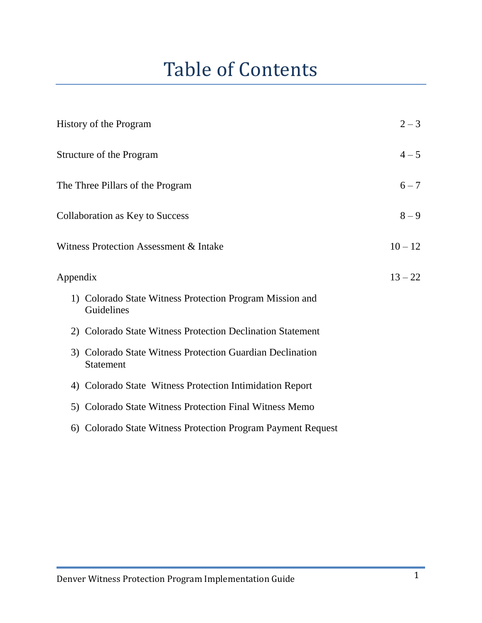#### Table of Contents

| History of the Program                                                        | $2 - 3$   |
|-------------------------------------------------------------------------------|-----------|
| Structure of the Program                                                      | $4 - 5$   |
| The Three Pillars of the Program                                              | $6 - 7$   |
| <b>Collaboration as Key to Success</b>                                        | $8 - 9$   |
| Witness Protection Assessment & Intake                                        | $10 - 12$ |
| Appendix                                                                      | $13 - 22$ |
| 1) Colorado State Witness Protection Program Mission and<br>Guidelines        |           |
| 2) Colorado State Witness Protection Declination Statement                    |           |
| 3) Colorado State Witness Protection Guardian Declination<br><b>Statement</b> |           |
| 4) Colorado State Witness Protection Intimidation Report                      |           |
| 5) Colorado State Witness Protection Final Witness Memo                       |           |
| 6) Colorado State Witness Protection Program Payment Request                  |           |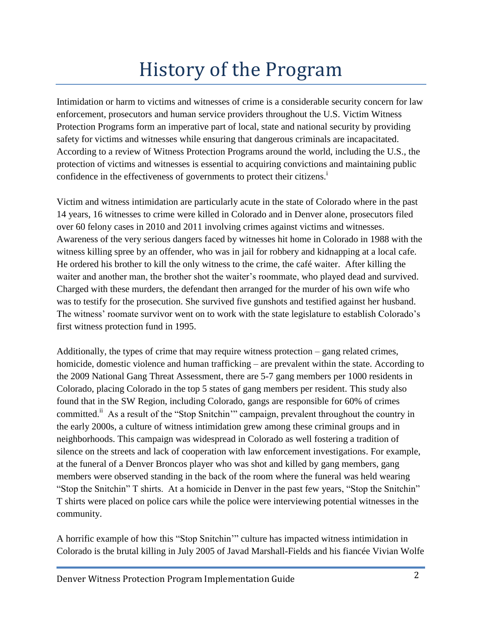### History of the Program

Intimidation or harm to victims and witnesses of crime is a considerable security concern for law enforcement, prosecutors and human service providers throughout the U.S. Victim Witness Protection Programs form an imperative part of local, state and national security by providing safety for victims and witnesses while ensuring that dangerous criminals are incapacitated. According to a review of Witness Protection Programs around the world, including the U.S., the protection of victims and witnesses is essential to acquiring convictions and maintaining public confidence in the effectiveness of governments to protect their citizens.<sup>1</sup>

Victim and witness intimidation are particularly acute in the state of Colorado where in the past 14 years, 16 witnesses to crime were killed in Colorado and in Denver alone, prosecutors filed over 60 felony cases in 2010 and 2011 involving crimes against victims and witnesses. Awareness of the very serious dangers faced by witnesses hit home in Colorado in 1988 with the witness killing spree by an offender, who was in jail for robbery and kidnapping at a local cafe. He ordered his brother to kill the only witness to the crime, the café waiter. After killing the waiter and another man, the brother shot the waiter's roommate, who played dead and survived. Charged with these murders, the defendant then arranged for the murder of his own wife who was to testify for the prosecution. She survived five gunshots and testified against her husband. The witness' roomate survivor went on to work with the state legislature to establish Colorado's first witness protection fund in 1995.

Additionally, the types of crime that may require witness protection – gang related crimes, homicide, domestic violence and human trafficking – are prevalent within the state. According to the 2009 National Gang Threat Assessment, there are 5-7 gang members per 1000 residents in Colorado, placing Colorado in the top 5 states of gang members per resident. This study also found that in the SW Region, including Colorado, gangs are responsible for 60% of crimes committed.<sup>ii</sup> As a result of the "Stop Snitchin'" campaign, prevalent throughout the country in the early 2000s, a culture of witness intimidation grew among these criminal groups and in neighborhoods. This campaign was widespread in Colorado as well fostering a tradition of silence on the streets and lack of cooperation with law enforcement investigations. For example, at the funeral of a Denver Broncos player who was shot and killed by gang members, gang members were observed standing in the back of the room where the funeral was held wearing "Stop the Snitchin" T shirts. At a homicide in Denver in the past few years, "Stop the Snitchin" T shirts were placed on police cars while the police were interviewing potential witnesses in the community.

A horrific example of how this "Stop Snitchin'" culture has impacted witness intimidation in Colorado is the brutal killing in July 2005 of Javad Marshall-Fields and his fiancée Vivian Wolfe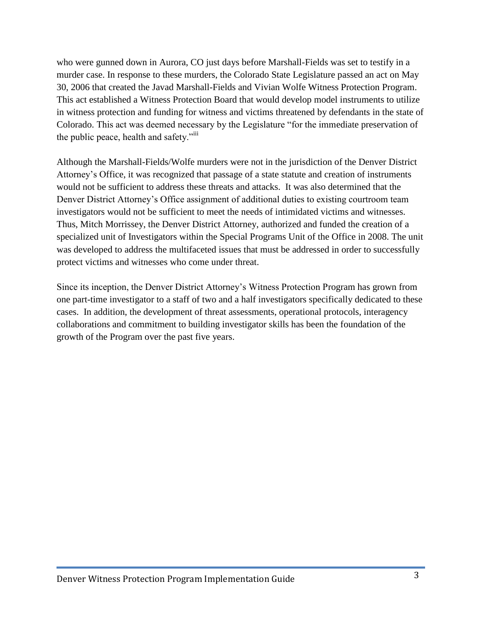who were gunned down in Aurora, CO just days before Marshall-Fields was set to testify in a murder case. In response to these murders, the Colorado State Legislature passed an act on May 30, 2006 that created the Javad Marshall-Fields and Vivian Wolfe Witness Protection Program. This act established a Witness Protection Board that would develop model instruments to utilize in witness protection and funding for witness and victims threatened by defendants in the state of Colorado. This act was deemed necessary by the Legislature "for the immediate preservation of the public peace, health and safety."<sup>iii</sup>

Although the Marshall-Fields/Wolfe murders were not in the jurisdiction of the Denver District Attorney's Office, it was recognized that passage of a state statute and creation of instruments would not be sufficient to address these threats and attacks. It was also determined that the Denver District Attorney's Office assignment of additional duties to existing courtroom team investigators would not be sufficient to meet the needs of intimidated victims and witnesses. Thus, Mitch Morrissey, the Denver District Attorney, authorized and funded the creation of a specialized unit of Investigators within the Special Programs Unit of the Office in 2008. The unit was developed to address the multifaceted issues that must be addressed in order to successfully protect victims and witnesses who come under threat.

Since its inception, the Denver District Attorney's Witness Protection Program has grown from one part-time investigator to a staff of two and a half investigators specifically dedicated to these cases. In addition, the development of threat assessments, operational protocols, interagency collaborations and commitment to building investigator skills has been the foundation of the growth of the Program over the past five years.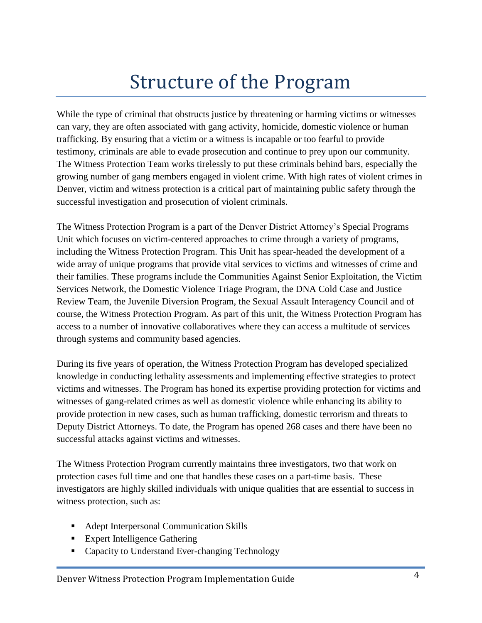### Structure of the Program

While the type of criminal that obstructs justice by threatening or harming victims or witnesses can vary, they are often associated with gang activity, homicide, domestic violence or human trafficking. By ensuring that a victim or a witness is incapable or too fearful to provide testimony, criminals are able to evade prosecution and continue to prey upon our community. The Witness Protection Team works tirelessly to put these criminals behind bars, especially the growing number of gang members engaged in violent crime. With high rates of violent crimes in Denver, victim and witness protection is a critical part of maintaining public safety through the successful investigation and prosecution of violent criminals.

The Witness Protection Program is a part of the Denver District Attorney's Special Programs Unit which focuses on victim-centered approaches to crime through a variety of programs, including the Witness Protection Program. This Unit has spear-headed the development of a wide array of unique programs that provide vital services to victims and witnesses of crime and their families. These programs include the Communities Against Senior Exploitation, the Victim Services Network, the Domestic Violence Triage Program, the DNA Cold Case and Justice Review Team, the Juvenile Diversion Program, the Sexual Assault Interagency Council and of course, the Witness Protection Program. As part of this unit, the Witness Protection Program has access to a number of innovative collaboratives where they can access a multitude of services through systems and community based agencies.

During its five years of operation, the Witness Protection Program has developed specialized knowledge in conducting lethality assessments and implementing effective strategies to protect victims and witnesses. The Program has honed its expertise providing protection for victims and witnesses of gang-related crimes as well as domestic violence while enhancing its ability to provide protection in new cases, such as human trafficking, domestic terrorism and threats to Deputy District Attorneys. To date, the Program has opened 268 cases and there have been no successful attacks against victims and witnesses.

The Witness Protection Program currently maintains three investigators, two that work on protection cases full time and one that handles these cases on a part-time basis. These investigators are highly skilled individuals with unique qualities that are essential to success in witness protection, such as:

- Adept Interpersonal Communication Skills
- **Expert Intelligence Gathering**
- Capacity to Understand Ever-changing Technology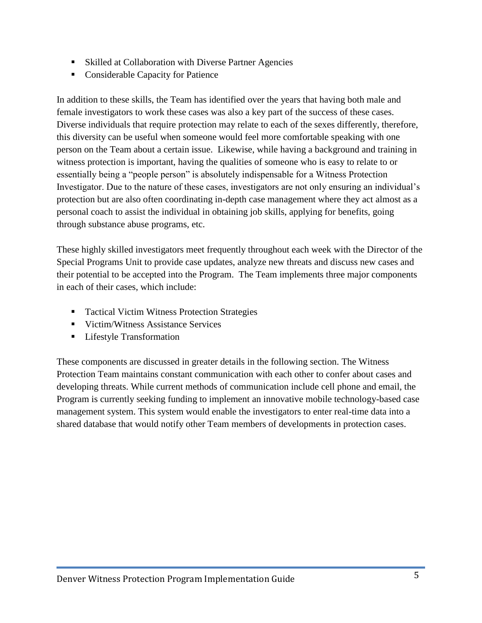- Skilled at Collaboration with Diverse Partner Agencies
- Considerable Capacity for Patience

In addition to these skills, the Team has identified over the years that having both male and female investigators to work these cases was also a key part of the success of these cases. Diverse individuals that require protection may relate to each of the sexes differently, therefore, this diversity can be useful when someone would feel more comfortable speaking with one person on the Team about a certain issue. Likewise, while having a background and training in witness protection is important, having the qualities of someone who is easy to relate to or essentially being a "people person" is absolutely indispensable for a Witness Protection Investigator. Due to the nature of these cases, investigators are not only ensuring an individual's protection but are also often coordinating in-depth case management where they act almost as a personal coach to assist the individual in obtaining job skills, applying for benefits, going through substance abuse programs, etc.

These highly skilled investigators meet frequently throughout each week with the Director of the Special Programs Unit to provide case updates, analyze new threats and discuss new cases and their potential to be accepted into the Program. The Team implements three major components in each of their cases, which include:

- Tactical Victim Witness Protection Strategies
- **Victim/Witness Assistance Services**
- **Lifestyle Transformation**

These components are discussed in greater details in the following section. The Witness Protection Team maintains constant communication with each other to confer about cases and developing threats. While current methods of communication include cell phone and email, the Program is currently seeking funding to implement an innovative mobile technology-based case management system. This system would enable the investigators to enter real-time data into a shared database that would notify other Team members of developments in protection cases.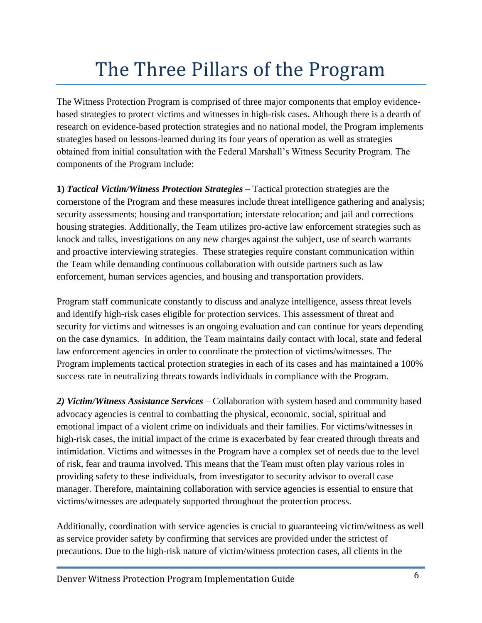### The Three Pillars of the Program

The Witness Protection Program is comprised of three major components that employ evidencebased strategies to protect victims and witnesses in high-risk cases. Although there is a dearth of research on evidence-based protection strategies and no national model, the Program implements strategies based on lessons-learned during its four years of operation as well as strategies obtained from initial consultation with the Federal Marshall's Witness Security Program. The components of the Program include:

**1)** *Tactical Victim/Witness Protection Strategies* – Tactical protection strategies are the cornerstone of the Program and these measures include threat intelligence gathering and analysis; security assessments; housing and transportation; interstate relocation; and jail and corrections housing strategies. Additionally, the Team utilizes pro-active law enforcement strategies such as knock and talks, investigations on any new charges against the subject, use of search warrants and proactive interviewing strategies. These strategies require constant communication within the Team while demanding continuous collaboration with outside partners such as law enforcement, human services agencies, and housing and transportation providers.

Program staff communicate constantly to discuss and analyze intelligence, assess threat levels and identify high-risk cases eligible for protection services. This assessment of threat and security for victims and witnesses is an ongoing evaluation and can continue for years depending on the case dynamics. In addition, the Team maintains daily contact with local, state and federal law enforcement agencies in order to coordinate the protection of victims/witnesses. The Program implements tactical protection strategies in each of its cases and has maintained a 100% success rate in neutralizing threats towards individuals in compliance with the Program.

*2) Victim/Witness Assistance Services* – Collaboration with system based and community based advocacy agencies is central to combatting the physical, economic, social, spiritual and emotional impact of a violent crime on individuals and their families. For victims/witnesses in high-risk cases, the initial impact of the crime is exacerbated by fear created through threats and intimidation. Victims and witnesses in the Program have a complex set of needs due to the level of risk, fear and trauma involved. This means that the Team must often play various roles in providing safety to these individuals, from investigator to security advisor to overall case manager. Therefore, maintaining collaboration with service agencies is essential to ensure that victims/witnesses are adequately supported throughout the protection process.

Additionally, coordination with service agencies is crucial to guaranteeing victim/witness as well as service provider safety by confirming that services are provided under the strictest of precautions. Due to the high-risk nature of victim/witness protection cases, all clients in the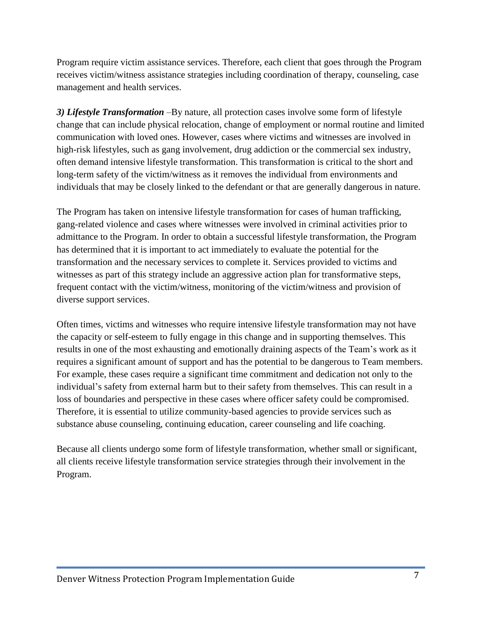Program require victim assistance services. Therefore, each client that goes through the Program receives victim/witness assistance strategies including coordination of therapy, counseling, case management and health services.

*3) Lifestyle Transformation* –By nature, all protection cases involve some form of lifestyle change that can include physical relocation, change of employment or normal routine and limited communication with loved ones. However, cases where victims and witnesses are involved in high-risk lifestyles, such as gang involvement, drug addiction or the commercial sex industry, often demand intensive lifestyle transformation. This transformation is critical to the short and long-term safety of the victim/witness as it removes the individual from environments and individuals that may be closely linked to the defendant or that are generally dangerous in nature.

The Program has taken on intensive lifestyle transformation for cases of human trafficking, gang-related violence and cases where witnesses were involved in criminal activities prior to admittance to the Program. In order to obtain a successful lifestyle transformation, the Program has determined that it is important to act immediately to evaluate the potential for the transformation and the necessary services to complete it. Services provided to victims and witnesses as part of this strategy include an aggressive action plan for transformative steps, frequent contact with the victim/witness, monitoring of the victim/witness and provision of diverse support services.

Often times, victims and witnesses who require intensive lifestyle transformation may not have the capacity or self-esteem to fully engage in this change and in supporting themselves. This results in one of the most exhausting and emotionally draining aspects of the Team's work as it requires a significant amount of support and has the potential to be dangerous to Team members. For example, these cases require a significant time commitment and dedication not only to the individual's safety from external harm but to their safety from themselves. This can result in a loss of boundaries and perspective in these cases where officer safety could be compromised. Therefore, it is essential to utilize community-based agencies to provide services such as substance abuse counseling, continuing education, career counseling and life coaching.

Because all clients undergo some form of lifestyle transformation, whether small or significant, all clients receive lifestyle transformation service strategies through their involvement in the Program.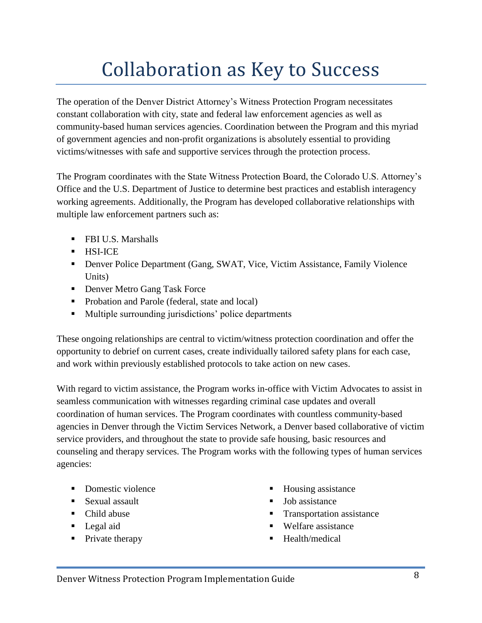## Collaboration as Key to Success

The operation of the Denver District Attorney's Witness Protection Program necessitates constant collaboration with city, state and federal law enforcement agencies as well as community-based human services agencies. Coordination between the Program and this myriad of government agencies and non-profit organizations is absolutely essential to providing victims/witnesses with safe and supportive services through the protection process.

The Program coordinates with the State Witness Protection Board, the Colorado U.S. Attorney's Office and the U.S. Department of Justice to determine best practices and establish interagency working agreements. Additionally, the Program has developed collaborative relationships with multiple law enforcement partners such as:

- **FBI U.S. Marshalls**
- $-HSI-ICE$
- Denver Police Department (Gang, SWAT, Vice, Victim Assistance, Family Violence Units)
- **Denver Metro Gang Task Force**
- Probation and Parole (federal, state and local)
- **Multiple surrounding jurisdictions' police departments**

These ongoing relationships are central to victim/witness protection coordination and offer the opportunity to debrief on current cases, create individually tailored safety plans for each case, and work within previously established protocols to take action on new cases.

With regard to victim assistance, the Program works in-office with Victim Advocates to assist in seamless communication with witnesses regarding criminal case updates and overall coordination of human services. The Program coordinates with countless community-based agencies in Denver through the Victim Services Network, a Denver based collaborative of victim service providers, and throughout the state to provide safe housing, basic resources and counseling and therapy services. The Program works with the following types of human services agencies:

- Domestic violence
- **Sexual assault**
- Child abuse
- **Legal aid**
- Private therapy
- Housing assistance
- Job assistance
- Transportation assistance
- Welfare assistance
- Health/medical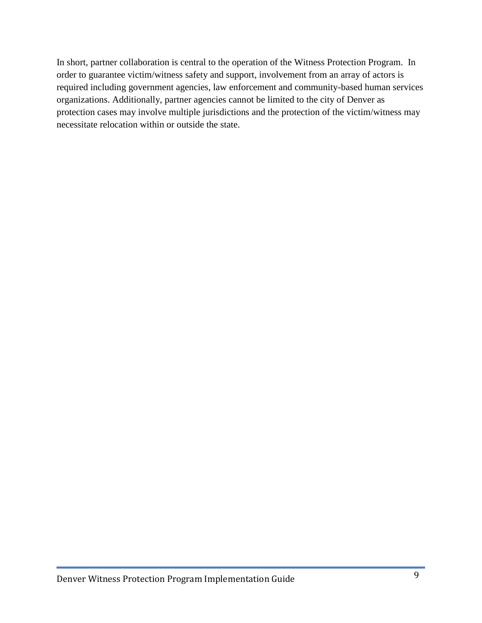In short, partner collaboration is central to the operation of the Witness Protection Program. In order to guarantee victim/witness safety and support, involvement from an array of actors is required including government agencies, law enforcement and community-based human services organizations. Additionally, partner agencies cannot be limited to the city of Denver as protection cases may involve multiple jurisdictions and the protection of the victim/witness may necessitate relocation within or outside the state.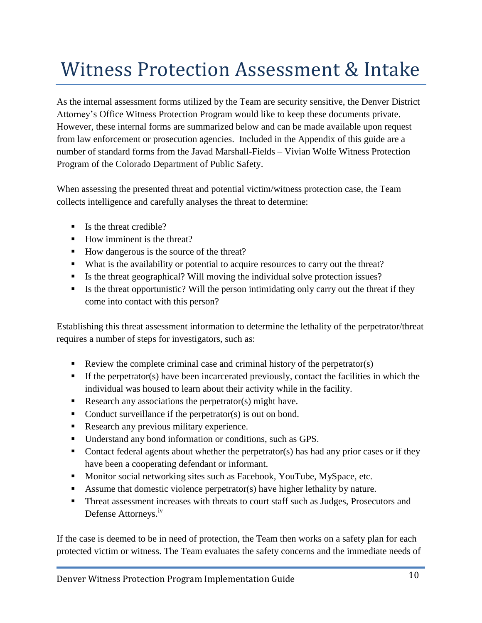## Witness Protection Assessment & Intake

As the internal assessment forms utilized by the Team are security sensitive, the Denver District Attorney's Office Witness Protection Program would like to keep these documents private. However, these internal forms are summarized below and can be made available upon request from law enforcement or prosecution agencies. Included in the Appendix of this guide are a number of standard forms from the Javad Marshall-Fields – Vivian Wolfe Witness Protection Program of the Colorado Department of Public Safety.

When assessing the presented threat and potential victim/witness protection case, the Team collects intelligence and carefully analyses the threat to determine:

- $\blacksquare$  Is the threat credible?
- $\blacksquare$  How imminent is the threat?
- How dangerous is the source of the threat?
- What is the availability or potential to acquire resources to carry out the threat?
- Is the threat geographical? Will moving the individual solve protection issues?
- Is the threat opportunistic? Will the person intimidating only carry out the threat if they come into contact with this person?

Establishing this threat assessment information to determine the lethality of the perpetrator/threat requires a number of steps for investigators, such as:

- Review the complete criminal case and criminal history of the perpetrator(s)
- If the perpetrator(s) have been incarcerated previously, contact the facilities in which the individual was housed to learn about their activity while in the facility.
- Research any associations the perpetrator(s) might have.
- Conduct surveillance if the perpetrator(s) is out on bond.
- Research any previous military experience.
- Understand any bond information or conditions, such as GPS.
- Contact federal agents about whether the perpetrator(s) has had any prior cases or if they have been a cooperating defendant or informant.
- Monitor social networking sites such as Facebook, YouTube, MySpace, etc.
- Assume that domestic violence perpetrator(s) have higher lethality by nature.
- **Threat assessment increases with threats to court staff such as Judges, Prosecutors and** Defense Attorneys.<sup>iv</sup>

If the case is deemed to be in need of protection, the Team then works on a safety plan for each protected victim or witness. The Team evaluates the safety concerns and the immediate needs of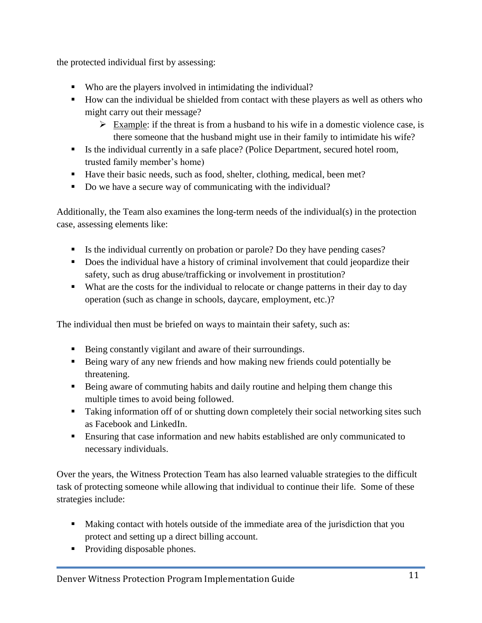the protected individual first by assessing:

- Who are the players involved in intimidating the individual?
- How can the individual be shielded from contact with these players as well as others who might carry out their message?
	- $\triangleright$  Example: if the threat is from a husband to his wife in a domestic violence case, is there someone that the husband might use in their family to intimidate his wife?
- Is the individual currently in a safe place? (Police Department, secured hotel room, trusted family member's home)
- Have their basic needs, such as food, shelter, clothing, medical, been met?
- Do we have a secure way of communicating with the individual?

Additionally, the Team also examines the long-term needs of the individual(s) in the protection case, assessing elements like:

- Is the individual currently on probation or parole? Do they have pending cases?
- Does the individual have a history of criminal involvement that could jeopardize their safety, such as drug abuse/trafficking or involvement in prostitution?
- What are the costs for the individual to relocate or change patterns in their day to day operation (such as change in schools, daycare, employment, etc.)?

The individual then must be briefed on ways to maintain their safety, such as:

- Being constantly vigilant and aware of their surroundings.
- Being wary of any new friends and how making new friends could potentially be threatening.
- Being aware of commuting habits and daily routine and helping them change this multiple times to avoid being followed.
- Taking information off of or shutting down completely their social networking sites such as Facebook and LinkedIn.
- Ensuring that case information and new habits established are only communicated to necessary individuals.

Over the years, the Witness Protection Team has also learned valuable strategies to the difficult task of protecting someone while allowing that individual to continue their life. Some of these strategies include:

- Making contact with hotels outside of the immediate area of the jurisdiction that you protect and setting up a direct billing account.
- Providing disposable phones.